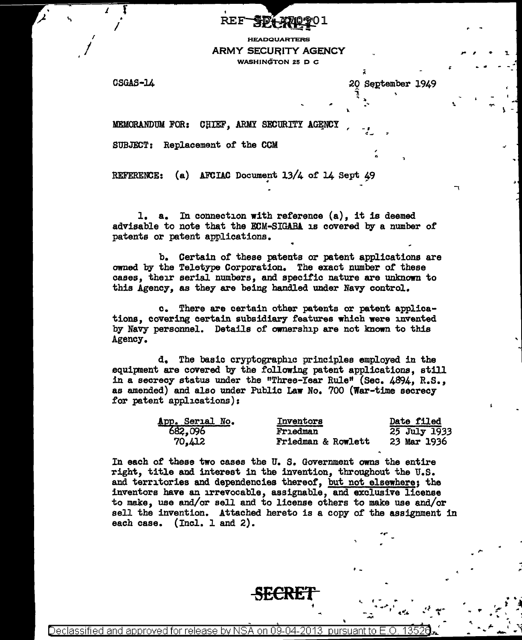## **REF**

**HEADQUARTERS ARMY SECURITY AGENCY** WASHINGTON 25 D C

CSGAS-14

20 September 1949

MEMORANDUM FOR: CHIEF, ARMY SECURITY AGENCY

SUBJECT: Replacement of the CCM

REFERENCE: (a) AFCIAC Document 13/4 of 14 Sept 49

1. a. In connection with reference (a), it is deemed advisable to note that the ECM-SIGABA is covered by a number of patents or patent applications.

b. Certain of these patents or patent applications are owned by the Teletype Corporation. The exact number of these cases, their serial numbers, and specific nature are unknown to this Agency, as they are being handled under Navy control.

c. There are certain other patents or patent applications, covering certain subsidiary features which were invented by Navy personnel. Details of ownership are not known to this Agency.

d. The basic cryptographic principles employed in the equipment are covered by the following patent applications, still in a secrecy status under the "Three-Year Rule" (Sec. 4894, R.S., as amended) and also under Public Law No. 700 (War-time secrecy for patent applications):

| App. Serial No. | <b>Inventors</b>   | Date filed   |
|-----------------|--------------------|--------------|
| 682,096         | Frıedman           | 25 July 1933 |
| 70,412          | Friedman & Rowlett | 23 Mar 1936  |

In each of these two cases the U.S. Government owns the entire right, title and interest in the invention, throughout the U.S. and territories and dependencies thereof, but not elsewhere; the inventors have an irrevocable, assignable, and exclusive license to make, use and/or sell and to license others to make use and/or sell the invention. Attached hereto is a copy of the assignment in each case.  $(Ind. 1 and 2).$ 

nursuant to Declassified and approved for release by NSA -on na nzi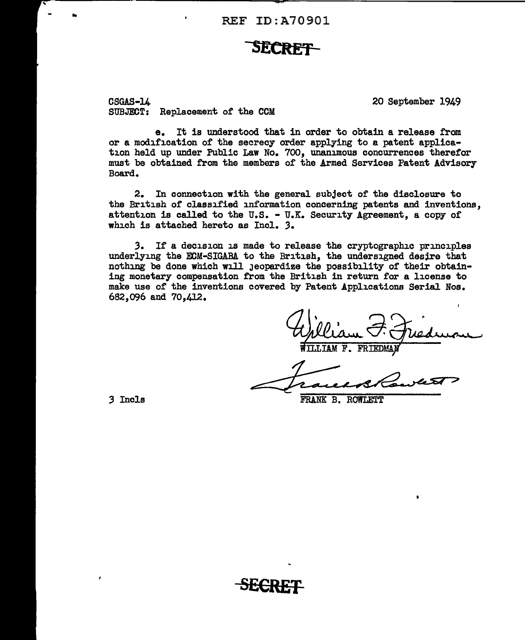## **SECRET**

CSGAS-14 SUBJECT: Replacement of the CCM 20 September 1949

e. It is understood that in order to obtain a release from or a modification of the secrecy order applying to a patent application held up under Public Law No. 700, unanimous concurrences therefor must be obtained from the members of the Armed Services Patent Advisory Board.

2. In connection with the general subject of the disclosure to the British of classified information concerning patents and inventions. attention is called to the U.S. - U.K. Security Agreement, a copy of which is attached hereto as Incl. 3.

3. If a decision is made to release the cryptographic principles underlying the ECM-SIGARA to the British, the undersigned desire that nothing be done which will jeopardize the possibility of their obtaining monetary compensation from the British in return for a license to make use of the inventions covered by Patent Applications Serial Nos. 682,096 and 70,412.

FRANK B. ROWLETT

3 Incls

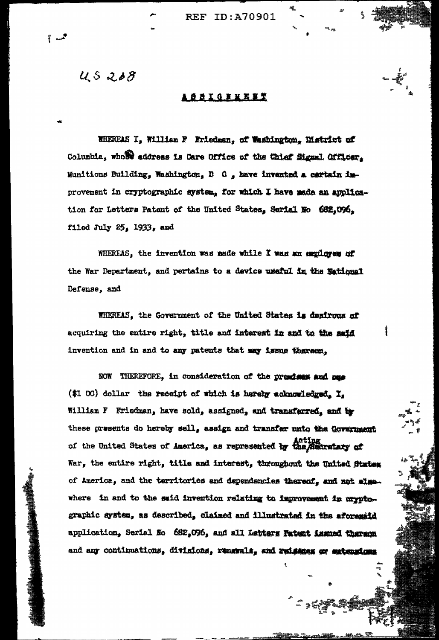45208

## **SSIGNNET**

WHEREAS I, William F Friedman, of Washington, District of Columbia, whose address is Care Office of the Chief Signal Officer. Munitions Building, Washington, D C, have invented a certain inprovement in cryptographic system, for which I have made an application for Letters Patent of the United States, Serial No 682,096. filed July 25, 1933, and

WHEREAS, the invention was made while I was an employee of the War Department, and pertains to a device useful in the Mational Defense, and

WHEREAS, the Government of the United States is desirous of acquiring the entire right, title and interest in and to the said invention and in and to any patents that may issue thereon,

NOW THEREFORE, in consideration of the premises and one (\$1 00) dollar the receipt of which is hereby acknowledged. I. William F Friedman, have sold, assigned, and transferred, and by these presents do hereby sell, assign and transfer unto the Government of the United States of America, as represented by the Secretary of War, the entire right, title and interest, throughout the United States of America, and the territories and dependencies thereof, and not elsewhere in and to the said invention relating to improvement in oryptographic system, as described, claimed and illustrated in the aforestid application, Serial No 682,096, and all Letters Patent issued thereon and any continuations, divisions, renerals, and reisens or extensions

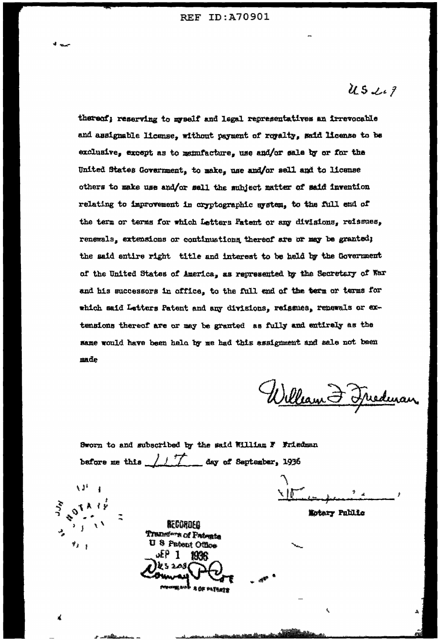$\mathcal{U}S\mathcal{L}I$ 

thereof; reserving to myself and legal representatives an irrevocable and assignable license, without payment of royalty, said license to be exclusive, except as to manufacture, use and/or sale by or for the United States Government, to make, use and/or sell and to license others to make use and/or sell the subject matter of said invention relating to improvement in cryptographic system, to the full end of the term or terms for which Letters Fatent or any divisions, reissues, renewals, extensions or continuations, thereof are or may be granted; the said entire right title and interest to be held by the Government of the United States of America, as represented by the Secretary of War and his successors in office, to the full end of the term or terms for which said Letters Patent and any divisions, reissues, renewals or extensions thereof are or may be granted as fully and entirely as the same would have been held by me had this assignment and sale not been made

William & Freedman

Sworn to and subscribed by the said William F Friedman before me this  $\sqrt{1/\ell}$  day of September, 1936

\ Ið

Motary Public

 $\lambda$   $\lambda$ <sup>2</sup>

 $\mathbf{r}_{k}$ 

**ACCORDED** Transfers of Patents **U** 8 Patent Office  $x + 1$ 积积 IZ 5 208

A OF FATANTS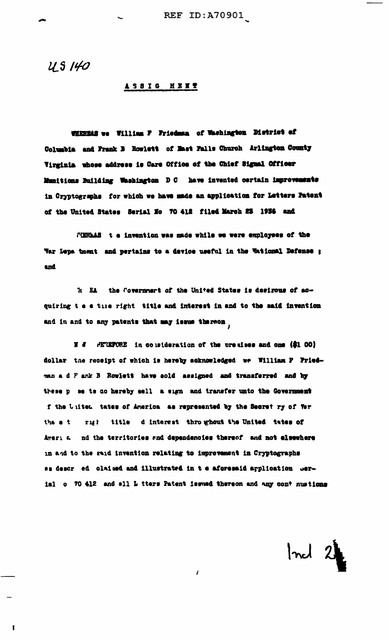US 140

 $\mathbf{I}$ 

## ASSIG MENT

WHEREAS we William F Friedman of Washington District of Columbia and Frank B Rowlett of Mast Falls Church Arlington County Virginia whose address is Care Office of the Chief Signal Officer Munitions Building Washington D C have invented certain improvements in Cryptographs for which we have made an application for Letters Patent of the United States Serial No 70 412 filed March 23 1936 and

FIERLAS t e invention was made while we were employees of the War Lepa tment and pertains to a device useful in the Wational Defense ; and

'h EA the Covernment of the United States is desirous of acquiring t e e time right title and interest in and to the said invention and in and to any patents that may issue thereon

N # FETEFORE in consideration of the premises and one (\$1 00) dollar the receipt of which is hereby acknowledged we William P Friedman a d F ank B Rowlett have sold assigned and transferred and by these p se ts do hereby sell a sign and transfer unto the Government f the United tates of America as represented by the Secret ry of Ver the e t right title d interest throughout the United tates of Ameri a md the territories and dependencies thereof and not elsewhere in and to the said invention relating to improvement in Cryptographs as descr ed claimed and illustrated in t e aforesaid application werial o 70 412 and all L tters Patent issued thereon and any cont nustions

 $\mathbf{I}$